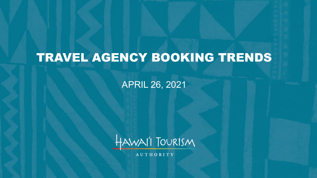# TRAVEL AGENCY BOOKING TRENDS

### APRIL 26, 2021



**AUTHORITY**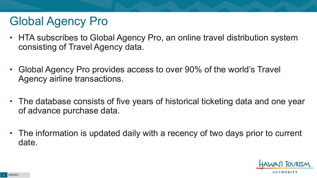## Global Agency Pro

- HTA subscribes to Global Agency Pro, an online travel distribution system consisting of Travel Agency data.
- Global Agency Pro provides access to over 90% of the world's Travel Agency airline transactions.
- The database consists of five years of historical ticketing data and one year of advance purchase data.
- The information is updated daily with a recency of two days prior to current date.

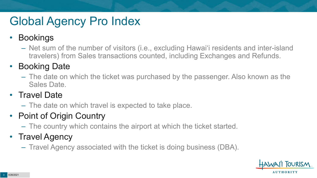# Global Agency Pro Index

### • Bookings

– Net sum of the number of visitors (i.e., excluding Hawai'i residents and inter-island travelers) from Sales transactions counted, including Exchanges and Refunds.

### • Booking Date

– The date on which the ticket was purchased by the passenger. Also known as the Sales Date.

### • Travel Date

– The date on which travel is expected to take place.

### • Point of Origin Country

– The country which contains the airport at which the ticket started.

### • Travel Agency

– Travel Agency associated with the ticket is doing business (DBA).

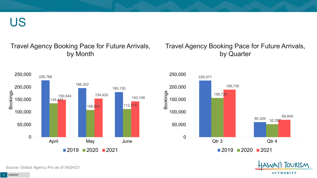US

### Travel Agency Booking Pace for Future Arrivals, by Month



### Travel Agency Booking Pace for Future Arrivals, by Quarter





Source: Global Agency Pro as of 04/24/21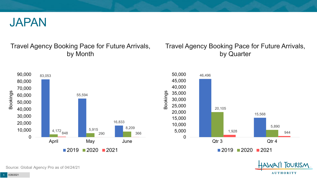

### Travel Agency Booking Pace for Future Arrivals, by Month

### Travel Agency Booking Pace for Future Arrivals, by Quarter

**FOURISM** 

**AUTHORITY** 



Source: Global Agency Pro as of 04/24/21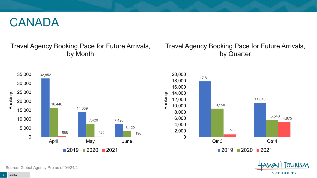### CANADA

### Travel Agency Booking Pace for Future Arrivals, by Month

### Travel Agency Booking Pace for Future Arrivals, by Quarter







Source: Global Agency Pro as of 04/24/21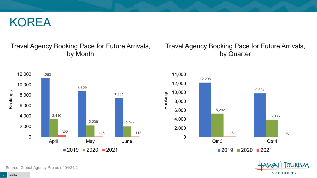### KOREA

### Travel Agency Booking Pace for Future Arrivals, by Month

### Travel Agency Booking Pace for Future Arrivals, by Quarter







Source: Global Agency Pro as of 04/24/21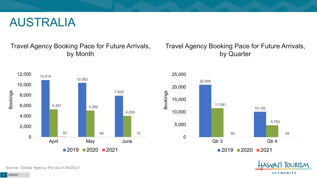### AUSTRALIA

### Travel Agency Booking Pace for Future Arrivals, by Month



### Travel Agency Booking Pace for Future Arrivals, by Quarter





Source: Global Agency Pro as of 04/24/21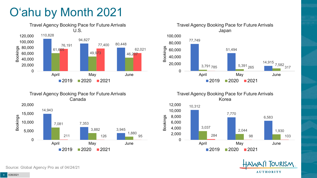# O'ahu by Month 2021







Travel Agency Booking Pace for Future Arrivals Korea





Source: Global Agency Pro as of 04/24/21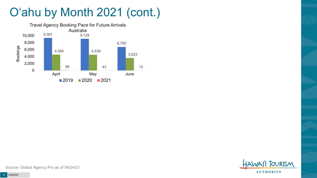# O'ahu by Month 2021 (cont.)





Source: Global Agency Pro as of 04/24/21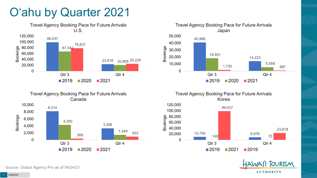## O'ahu by Quarter 2021











Source: Global Agency Pro as of 04/24/21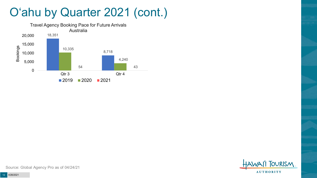### O'ahu by Quarter 2021 (cont.)





Source: Global Agency Pro as of 04/24/21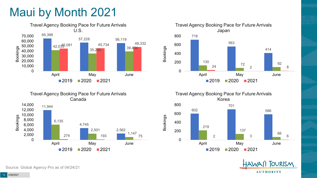## Maui by Month 2021





Travel Agency Booking Pace for Future Arrivals Japan 718 563 414 130<br>**130** 92<br>**120** 92 24  $\frac{12}{2}$  2 8 0 200 400 600 800 April May June Bookings  $2019$   $2020$   $2021$ 



**OURISM AUTHORITY** 

Source: Global Agency Pro as of 04/24/21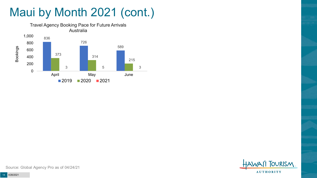# Maui by Month 2021 (cont.)





Source: Global Agency Pro as of 04/24/21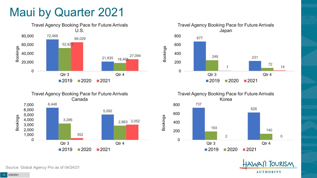### Maui by Quarter 2021







Travel Agency Booking Pace for Future Arrivals Korea 737 628 <sup>193</sup> <sup>140</sup> 2 0 0 200 400 600 800 Qtr 3 Qtr 4  $2019$  2020 2021

Bookings



Source: Global Agency Pro as of 04/24/21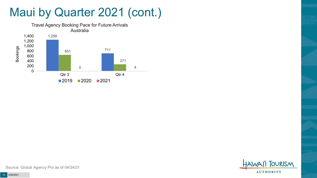### Maui by Quarter 2021 (cont.)





Source: Global Agency Pro as of 04/24/21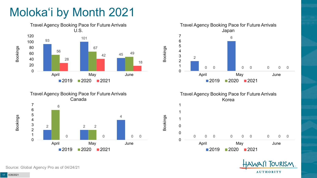# Moloka'i by Month 2021









Bookings



**OURISM AUTHORITY** 

Source: Global Agency Pro as of 04/24/21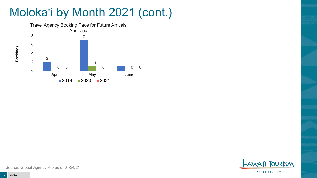# Moloka'i by Month 2021 (cont.)



**TOURISM AUTHORITY** 

Source: Global Agency Pro as of 04/24/21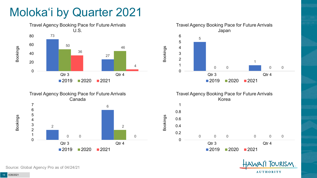## Moloka'i by Quarter 2021









Bookings



Source: Global Agency Pro as of 04/24/21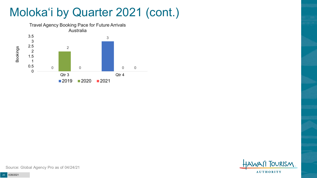## Moloka'i by Quarter 2021 (cont.)



**TOURISM AUTHORITY** 

Source: Global Agency Pro as of 04/24/21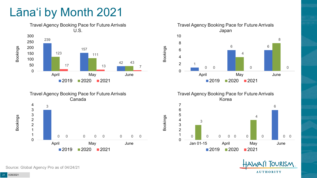## Lāna'i by Month 2021





Travel Agency Booking Pace for Future Arrivals Japan 6  $\Omega$  0 0 April May June 2020 2021

Bookings

Bookings

Travel Agency Booking Pace for Future Arrivals Korea



**OURISM AUTHORITY** 

Source: Global Agency Pro as of 04/24/21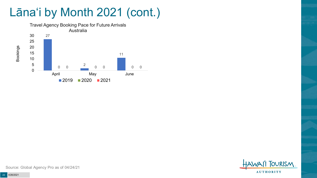## Lāna'i by Month 2021 (cont.)





Source: Global Agency Pro as of 04/24/21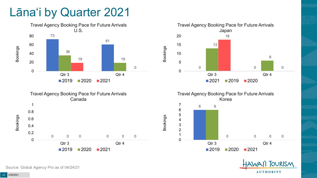### Lāna'i by Quarter 2021





Travel Agency Booking Pace for Future Arrivals Japan 0 Qtr 3 Qtr 4 Bookings  $\blacksquare$  2021  $\blacksquare$  2019  $\blacksquare$  2020





Source: Global Agency Pro as of 04/24/21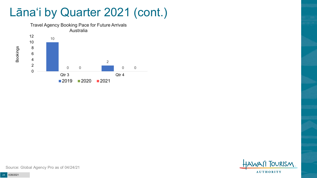### Lāna'i by Quarter 2021 (cont.)



**TOURISM AUTHORITY** 

Source: Global Agency Pro as of 04/24/21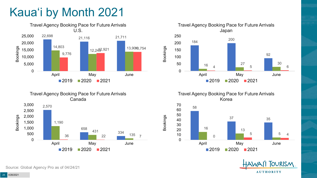# Kaua'i by Month 2021







Travel Agency Booking Pace for Future Arrivals Korea

Bookings



**OURISM AUTHORITY** 

Source: Global Agency Pro as of 04/24/21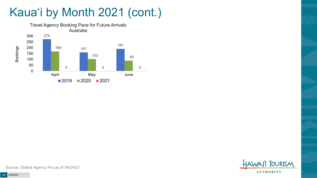## Kaua'i by Month 2021 (cont.)





Source: Global Agency Pro as of 04/24/21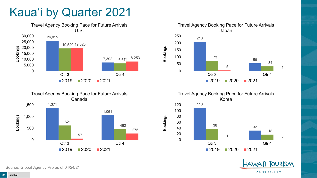## Kaua'i by Quarter 2021







Travel Agency Booking Pace for Future Arrivals Korea 110 <sup>32</sup> <sup>38</sup> 18 1 0 0 20 40 60 80 100 120

Bookings

 $2019$  2020 2021

Qtr 3 Qtr 4



Source: Global Agency Pro as of 04/24/21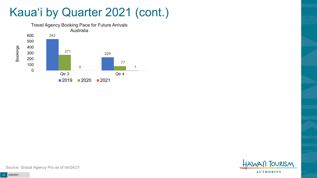## Kaua'i by Quarter 2021 (cont.)

![](_page_27_Figure_1.jpeg)

![](_page_27_Picture_2.jpeg)

Source: Global Agency Pro as of 04/24/21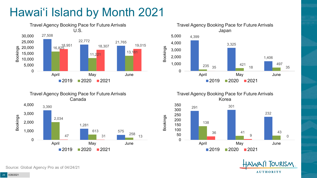# Hawai'i Island by Month 2021

![](_page_28_Figure_1.jpeg)

![](_page_28_Figure_2.jpeg)

![](_page_28_Figure_3.jpeg)

![](_page_28_Picture_4.jpeg)

1,281 613 1,000 Bookings

2,034

3,390

2,000

3,000

4,000

575 47 31 258 13 0 April May June  $2019$  2020 2021

Travel Agency Booking Pace for Future Arrivals Canada

Source: Global Agency Pro as of 04/24/21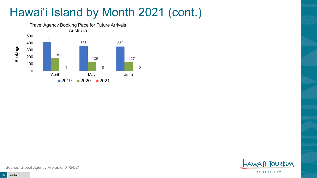# Hawai'i Island by Month 2021 (cont.)

![](_page_29_Figure_1.jpeg)

![](_page_29_Picture_2.jpeg)

Source: Global Agency Pro as of 04/24/21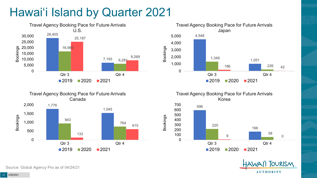# Hawai'i Island by Quarter 2021

![](_page_30_Figure_1.jpeg)

![](_page_30_Figure_2.jpeg)

![](_page_30_Figure_3.jpeg)

Travel Agency Booking Pace for Future Arrivals Korea

Bookings

![](_page_30_Figure_5.jpeg)

![](_page_30_Picture_6.jpeg)

Source: Global Agency Pro as of 04/24/21